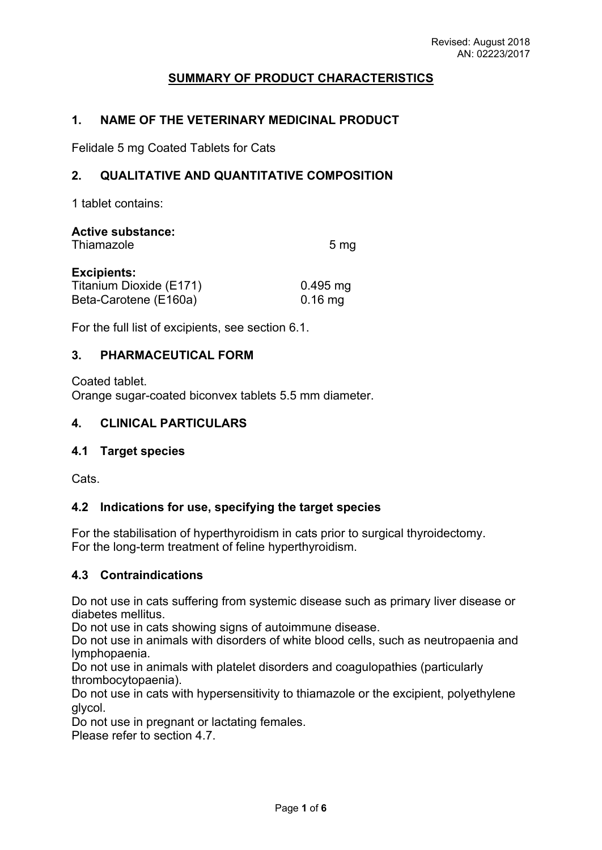# **SUMMARY OF PRODUCT CHARACTERISTICS**

#### **1. NAME OF THE VETERINARY MEDICINAL PRODUCT**

Felidale 5 mg Coated Tablets for Cats

### **2. QUALITATIVE AND QUANTITATIVE COMPOSITION**

1 tablet contains:

| <b>Active substance:</b><br>Thiamazole | 5 <sub>mg</sub> |
|----------------------------------------|-----------------|
| <b>Excipients:</b>                     |                 |
| Titanium Dioxide (E171)                | $0.495$ mg      |
| Beta-Carotene (E160a)                  | $0.16$ mg       |

For the full list of excipients, see section 6.1.

#### **3. PHARMACEUTICAL FORM**

Coated tablet. Orange sugar-coated biconvex tablets 5.5 mm diameter.

#### **4. CLINICAL PARTICULARS**

#### **4.1 Target species**

Cats.

#### **4.2 Indications for use, specifying the target species**

For the stabilisation of hyperthyroidism in cats prior to surgical thyroidectomy. For the long-term treatment of feline hyperthyroidism.

#### **4.3 Contraindications**

Do not use in cats suffering from systemic disease such as primary liver disease or diabetes mellitus.

Do not use in cats showing signs of autoimmune disease.

Do not use in animals with disorders of white blood cells, such as neutropaenia and lymphopaenia.

Do not use in animals with platelet disorders and coagulopathies (particularly thrombocytopaenia).

Do not use in cats with hypersensitivity to thiamazole or the excipient, polyethylene glycol.

Do not use in pregnant or lactating females.

Please refer to section 4.7.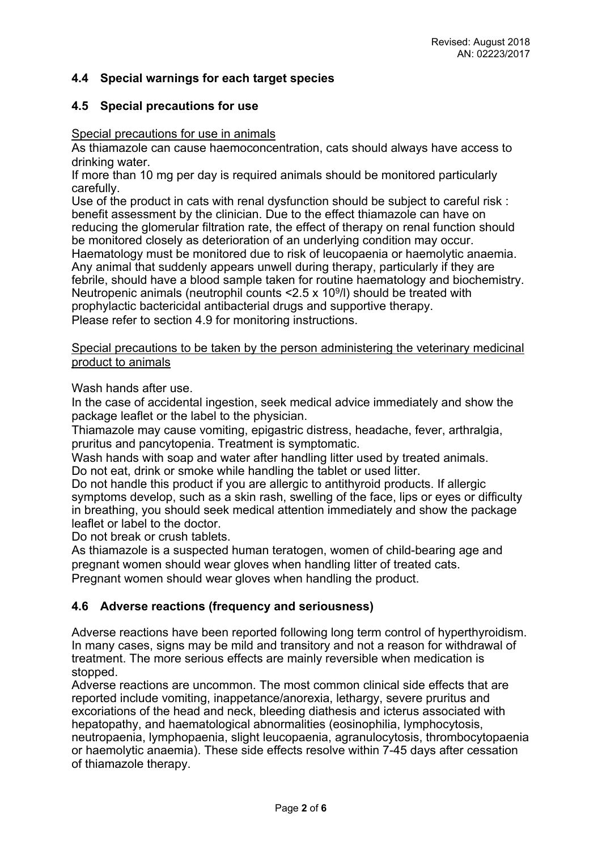## **4.4 Special warnings for each target species**

#### **4.5 Special precautions for use**

#### Special precautions for use in animals

As thiamazole can cause haemoconcentration, cats should always have access to drinking water.

If more than 10 mg per day is required animals should be monitored particularly carefully.

Use of the product in cats with renal dysfunction should be subject to careful risk : benefit assessment by the clinician. Due to the effect thiamazole can have on reducing the glomerular filtration rate, the effect of therapy on renal function should be monitored closely as deterioration of an underlying condition may occur. Haematology must be monitored due to risk of leucopaenia or haemolytic anaemia. Any animal that suddenly appears unwell during therapy, particularly if they are febrile, should have a blood sample taken for routine haematology and biochemistry. Neutropenic animals (neutrophil counts  $\leq$  2.5 x 10<sup>9</sup>/l) should be treated with prophylactic bactericidal antibacterial drugs and supportive therapy. Please refer to section 4.9 for monitoring instructions.

Special precautions to be taken by the person administering the veterinary medicinal product to animals

Wash hands after use.

In the case of accidental ingestion, seek medical advice immediately and show the package leaflet or the label to the physician.

Thiamazole may cause vomiting, epigastric distress, headache, fever, arthralgia, pruritus and pancytopenia. Treatment is symptomatic.

Wash hands with soap and water after handling litter used by treated animals. Do not eat, drink or smoke while handling the tablet or used litter.

Do not handle this product if you are allergic to antithyroid products. If allergic symptoms develop, such as a skin rash, swelling of the face, lips or eyes or difficulty in breathing, you should seek medical attention immediately and show the package leaflet or label to the doctor.

Do not break or crush tablets.

As thiamazole is a suspected human teratogen, women of child-bearing age and pregnant women should wear gloves when handling litter of treated cats. Pregnant women should wear gloves when handling the product.

### **4.6 Adverse reactions (frequency and seriousness)**

Adverse reactions have been reported following long term control of hyperthyroidism. In many cases, signs may be mild and transitory and not a reason for withdrawal of treatment. The more serious effects are mainly reversible when medication is stopped.

Adverse reactions are uncommon. The most common clinical side effects that are reported include vomiting, inappetance/anorexia, lethargy, severe pruritus and excoriations of the head and neck, bleeding diathesis and icterus associated with hepatopathy, and haematological abnormalities (eosinophilia, lymphocytosis, neutropaenia, lymphopaenia, slight leucopaenia, agranulocytosis, thrombocytopaenia or haemolytic anaemia). These side effects resolve within 7-45 days after cessation of thiamazole therapy.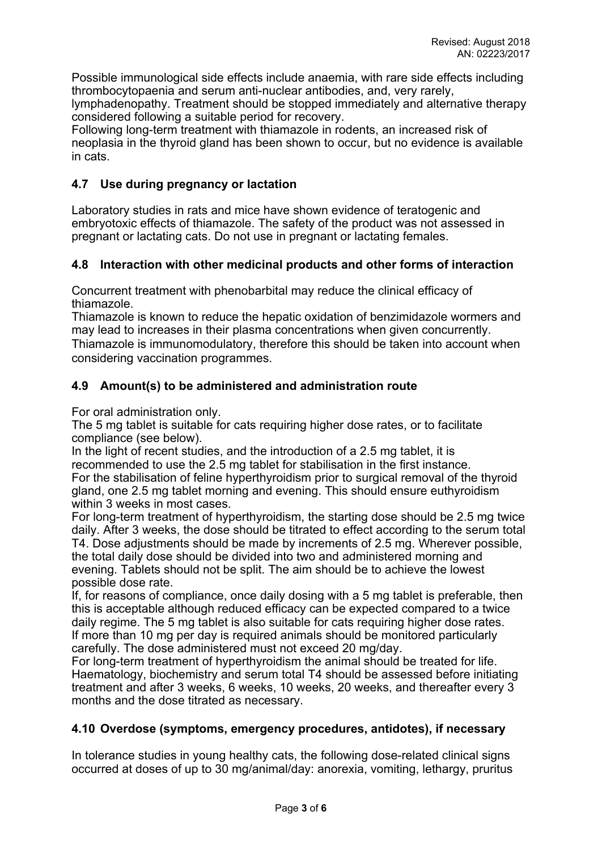Possible immunological side effects include anaemia, with rare side effects including thrombocytopaenia and serum anti-nuclear antibodies, and, very rarely,

lymphadenopathy. Treatment should be stopped immediately and alternative therapy considered following a suitable period for recovery.

Following long-term treatment with thiamazole in rodents, an increased risk of neoplasia in the thyroid gland has been shown to occur, but no evidence is available in cats.

## **4.7 Use during pregnancy or lactation**

Laboratory studies in rats and mice have shown evidence of teratogenic and embryotoxic effects of thiamazole. The safety of the product was not assessed in pregnant or lactating cats. Do not use in pregnant or lactating females.

## **4.8 Interaction with other medicinal products and other forms of interaction**

Concurrent treatment with phenobarbital may reduce the clinical efficacy of thiamazole.

Thiamazole is known to reduce the hepatic oxidation of benzimidazole wormers and may lead to increases in their plasma concentrations when given concurrently. Thiamazole is immunomodulatory, therefore this should be taken into account when considering vaccination programmes.

## **4.9 Amount(s) to be administered and administration route**

For oral administration only.

The 5 mg tablet is suitable for cats requiring higher dose rates, or to facilitate compliance (see below).

In the light of recent studies, and the introduction of a 2.5 mg tablet, it is recommended to use the 2.5 mg tablet for stabilisation in the first instance. For the stabilisation of feline hyperthyroidism prior to surgical removal of the thyroid gland, one 2.5 mg tablet morning and evening. This should ensure euthyroidism within 3 weeks in most cases.

For long-term treatment of hyperthyroidism, the starting dose should be 2.5 mg twice daily. After 3 weeks, the dose should be titrated to effect according to the serum total T4. Dose adjustments should be made by increments of 2.5 mg. Wherever possible, the total daily dose should be divided into two and administered morning and evening. Tablets should not be split. The aim should be to achieve the lowest possible dose rate.

If, for reasons of compliance, once daily dosing with a 5 mg tablet is preferable, then this is acceptable although reduced efficacy can be expected compared to a twice daily regime. The 5 mg tablet is also suitable for cats requiring higher dose rates. If more than 10 mg per day is required animals should be monitored particularly carefully. The dose administered must not exceed 20 mg/day.

For long-term treatment of hyperthyroidism the animal should be treated for life. Haematology, biochemistry and serum total T4 should be assessed before initiating treatment and after 3 weeks, 6 weeks, 10 weeks, 20 weeks, and thereafter every 3 months and the dose titrated as necessary.

### **4.10 Overdose (symptoms, emergency procedures, antidotes), if necessary**

In tolerance studies in young healthy cats, the following dose-related clinical signs occurred at doses of up to 30 mg/animal/day: anorexia, vomiting, lethargy, pruritus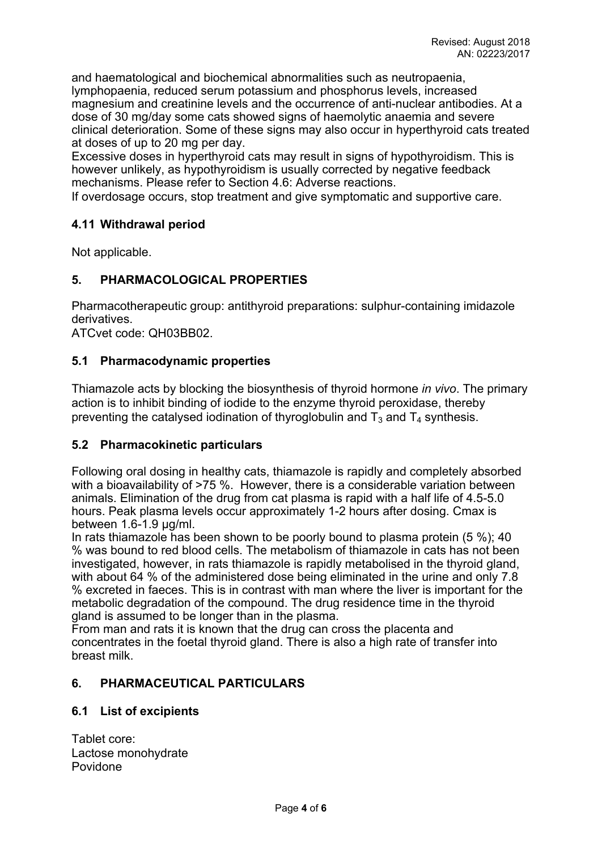and haematological and biochemical abnormalities such as neutropaenia, lymphopaenia, reduced serum potassium and phosphorus levels, increased magnesium and creatinine levels and the occurrence of anti-nuclear antibodies. At a dose of 30 mg/day some cats showed signs of haemolytic anaemia and severe clinical deterioration. Some of these signs may also occur in hyperthyroid cats treated at doses of up to 20 mg per day.

Excessive doses in hyperthyroid cats may result in signs of hypothyroidism. This is however unlikely, as hypothyroidism is usually corrected by negative feedback mechanisms. Please refer to Section 4.6: Adverse reactions.

If overdosage occurs, stop treatment and give symptomatic and supportive care.

### **4.11 Withdrawal period**

Not applicable.

### **5. PHARMACOLOGICAL PROPERTIES**

Pharmacotherapeutic group: antithyroid preparations: sulphur-containing imidazole derivatives.

ATCvet code: QH03BB02.

#### **5.1 Pharmacodynamic properties**

Thiamazole acts by blocking the biosynthesis of thyroid hormone *in vivo*. The primary action is to inhibit binding of iodide to the enzyme thyroid peroxidase, thereby preventing the catalysed iodination of thyroglobulin and  $T_3$  and  $T_4$  synthesis.

#### **5.2 Pharmacokinetic particulars**

Following oral dosing in healthy cats, thiamazole is rapidly and completely absorbed with a bioavailability of  $>75$  %. However, there is a considerable variation between animals. Elimination of the drug from cat plasma is rapid with a half life of 4.5-5.0 hours. Peak plasma levels occur approximately 1-2 hours after dosing. Cmax is between 1.6-1.9 μg/ml.

In rats thiamazole has been shown to be poorly bound to plasma protein (5 %); 40 % was bound to red blood cells. The metabolism of thiamazole in cats has not been investigated, however, in rats thiamazole is rapidly metabolised in the thyroid gland, with about 64 % of the administered dose being eliminated in the urine and only 7.8 % excreted in faeces. This is in contrast with man where the liver is important for the metabolic degradation of the compound. The drug residence time in the thyroid gland is assumed to be longer than in the plasma.

From man and rats it is known that the drug can cross the placenta and concentrates in the foetal thyroid gland. There is also a high rate of transfer into breast milk.

### **6. PHARMACEUTICAL PARTICULARS**

#### **6.1 List of excipients**

Tablet core: Lactose monohydrate Povidone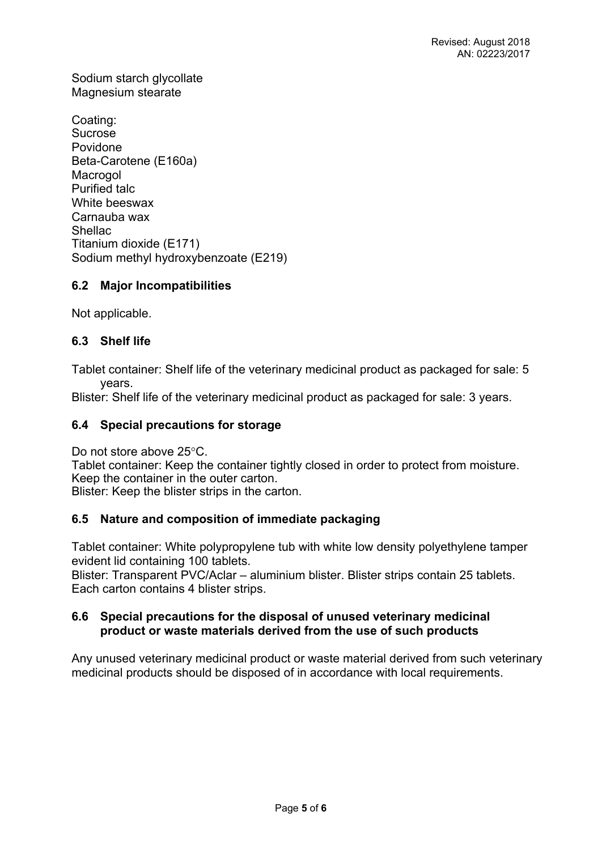Sodium starch glycollate Magnesium stearate

Coating: Sucrose Povidone Beta-Carotene (E160a) Macrogol Purified talc White beeswax Carnauba wax Shellac Titanium dioxide (E171) Sodium methyl hydroxybenzoate (E219)

## **6.2 Major Incompatibilities**

Not applicable.

## **6.3 Shelf life**

Tablet container: Shelf life of the veterinary medicinal product as packaged for sale: 5 years.

Blister: Shelf life of the veterinary medicinal product as packaged for sale: 3 years.

### **6.4 Special precautions for storage**

Do not store above 25°C.

Tablet container: Keep the container tightly closed in order to protect from moisture. Keep the container in the outer carton.

Blister: Keep the blister strips in the carton.

### **6.5 Nature and composition of immediate packaging**

Tablet container: White polypropylene tub with white low density polyethylene tamper evident lid containing 100 tablets.

Blister: Transparent PVC/Aclar – aluminium blister. Blister strips contain 25 tablets. Each carton contains 4 blister strips.

### **6.6 Special precautions for the disposal of unused veterinary medicinal product or waste materials derived from the use of such products**

Any unused veterinary medicinal product or waste material derived from such veterinary medicinal products should be disposed of in accordance with local requirements.